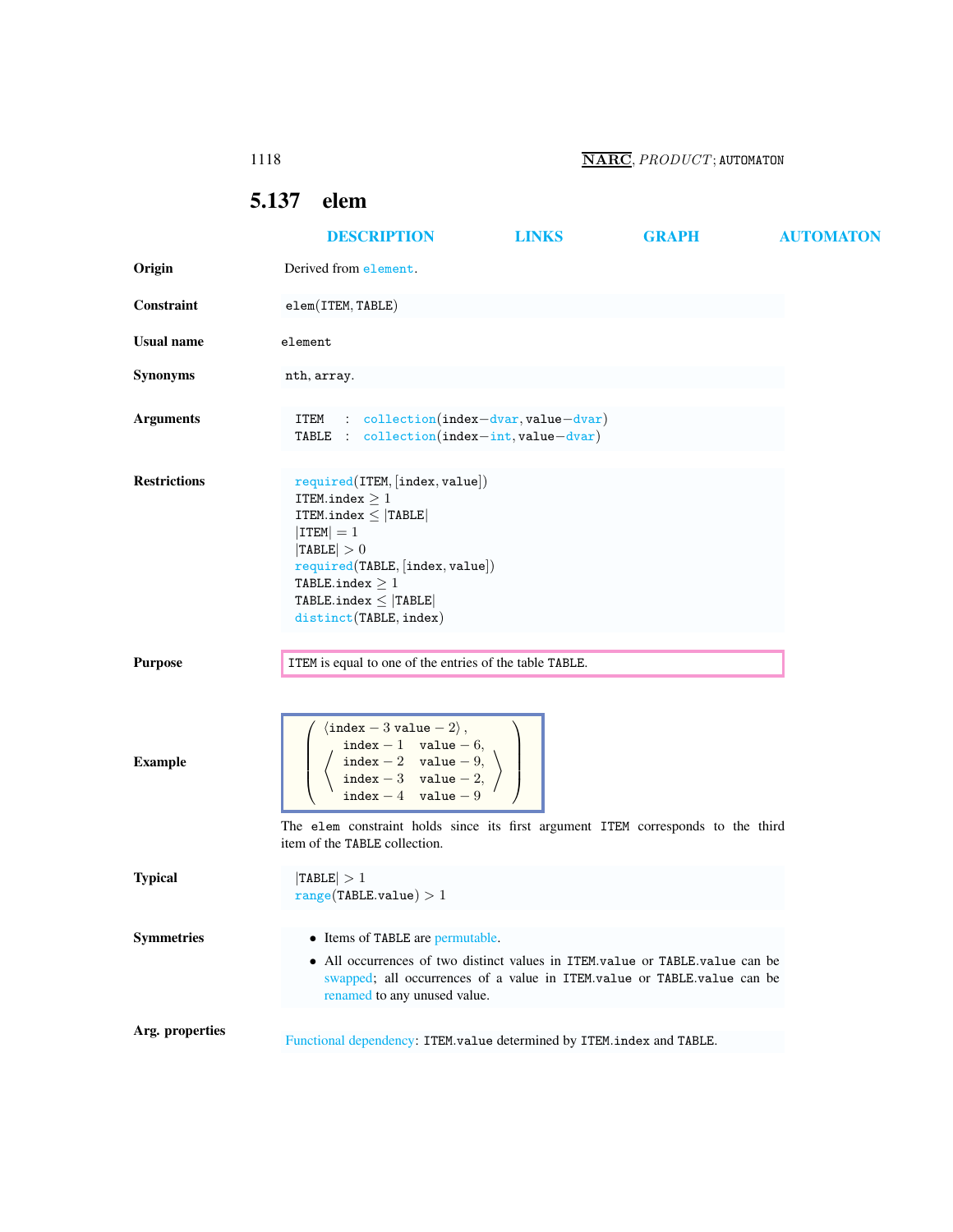## <span id="page-0-0"></span>5.137 elem

|                     | <b>DESCRIPTION</b>                                                                                                                                                                                                                                                                                                                                             | <b>LINKS</b> | <b>GRAPH</b> | <b>AUTOMATON</b> |
|---------------------|----------------------------------------------------------------------------------------------------------------------------------------------------------------------------------------------------------------------------------------------------------------------------------------------------------------------------------------------------------------|--------------|--------------|------------------|
| Origin              | Derived from element.                                                                                                                                                                                                                                                                                                                                          |              |              |                  |
| Constraint          | $element$ (ITEM, TABLE)                                                                                                                                                                                                                                                                                                                                        |              |              |                  |
| <b>Usual name</b>   | element                                                                                                                                                                                                                                                                                                                                                        |              |              |                  |
| Synonyms            | nth, array.                                                                                                                                                                                                                                                                                                                                                    |              |              |                  |
| <b>Arguments</b>    | $: $ collection(index-dvar, value-dvar)<br>ITEM<br>TABLE : $\text{collection}(\text{index} - \text{int}, \text{value} - \text{dvar})$                                                                                                                                                                                                                          |              |              |                  |
| <b>Restrictions</b> | required(TEM, [index, value])<br>ITEM.index $\geq 1$<br>ITEM.index $\leq$  TABLE <br>$ $ ITEM $ =1$<br> TABLE  > 0<br>required(TABLE, [index, value])<br>TABLE.index $\geq 1$<br>TABLE.index $\leq$ TABLE<br>distinct(TABLE, index)                                                                                                                            |              |              |                  |
| <b>Purpose</b>      | ITEM is equal to one of the entries of the table TABLE.                                                                                                                                                                                                                                                                                                        |              |              |                  |
| <b>Example</b>      | $\langle$ index - 3 value - 2 $\rangle$ ,<br>$\begin{array}{ll}\n\texttt{index} - 1 & \texttt{value} - 6, \\ \texttt{index} - 2 & \texttt{value} - 9, \\ \texttt{index} - 3 & \texttt{value} - 2, \n\end{array}$<br>index $-4$ value $-9$<br>The elem constraint holds since its first argument ITEM corresponds to the third<br>item of the TABLE collection. |              |              |                  |
| <b>Typical</b>      | TABLE  > 1<br>range(TABLE.value) > 1                                                                                                                                                                                                                                                                                                                           |              |              |                  |
| <b>Symmetries</b>   | • Items of TABLE are permutable.<br>• All occurrences of two distinct values in ITEM.value or TABLE.value can be<br>swapped; all occurrences of a value in ITEM.value or TABLE.value can be<br>renamed to any unused value.                                                                                                                                    |              |              |                  |
| Arg. properties     | Functional dependency: ITEM.value determined by ITEM.index and TABLE.                                                                                                                                                                                                                                                                                          |              |              |                  |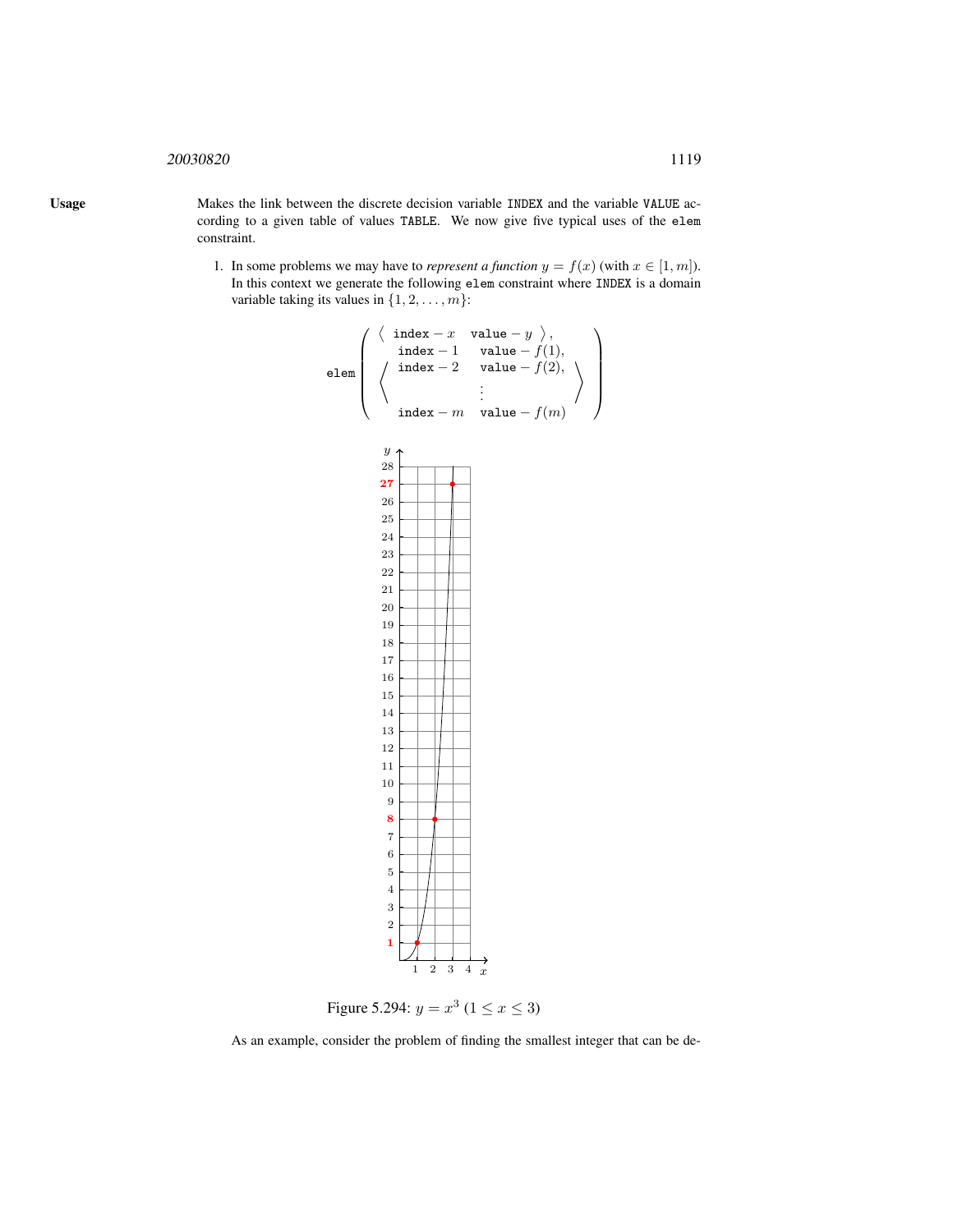## <sup>20030820</sup> 1119

Usage Makes the link between the discrete decision variable INDEX and the variable VALUE according to a given table of values TABLE. We now give five typical uses of the elem constraint.

> 1. In some problems we may have to *represent a function*  $y = f(x)$  (with  $x \in [1, m]$ ). In this context we generate the following elem constraint where INDEX is a domain variable taking its values in  $\{1, 2, \ldots, m\}$ :



<span id="page-1-0"></span>Figure 5.294:  $y = x^3$  ( $1 \le x \le 3$ )

As an example, consider the problem of finding the smallest integer that can be de-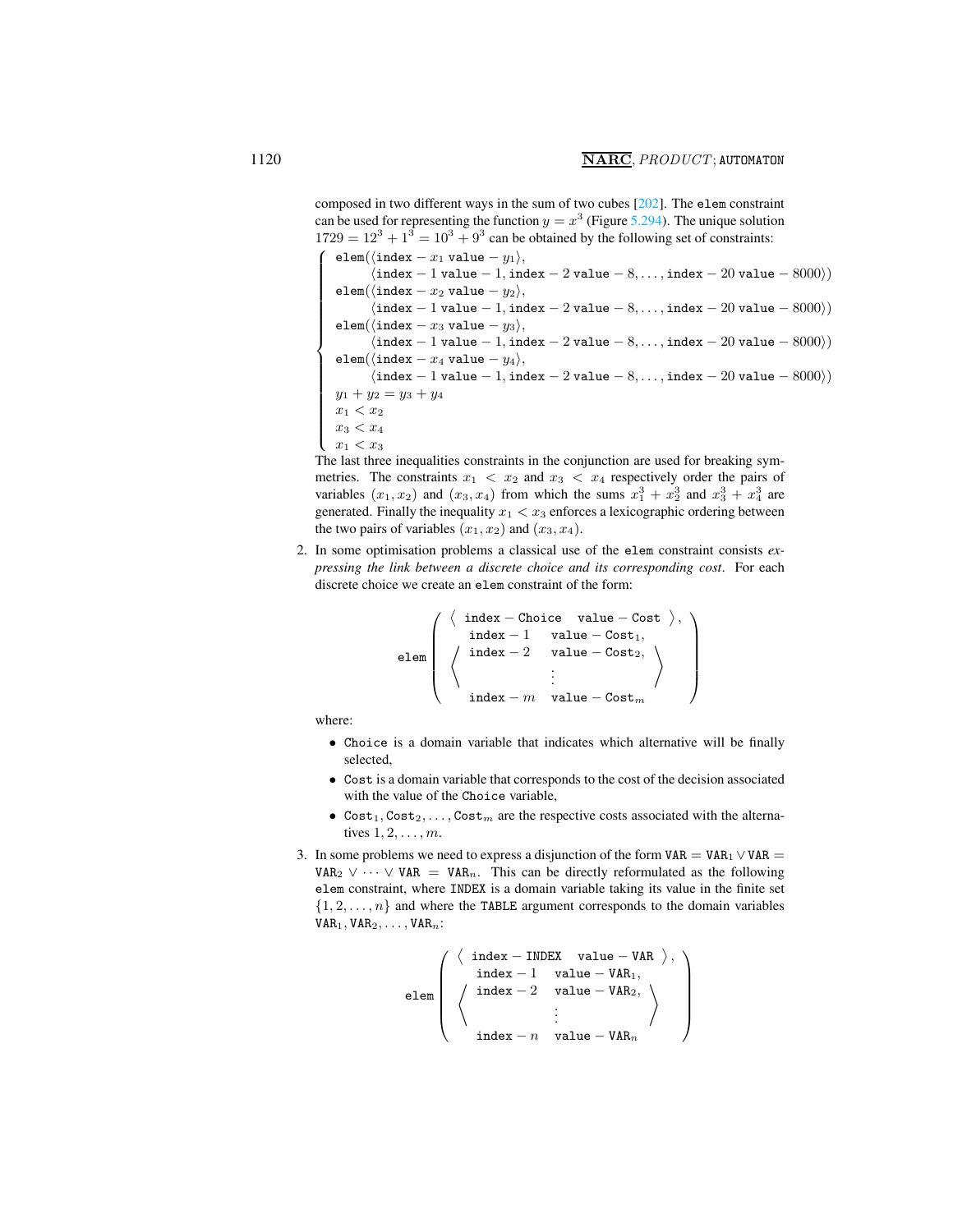composed in two different ways in the sum of two cubes [202]. The elem constraint can be used for representing the function  $y = x^3$  (Figure [5.294\)](#page-1-0). The unique solution  $1729 = 12<sup>3</sup> + 1<sup>3</sup> = 10<sup>3</sup> + 9<sup>3</sup>$  can be obtained by the following set of constraints:

elem( $\langle$ index − x<sub>1</sub> value − y<sub>1</sub> $\rangle$ ,  $\langle$ index − 1 value − 1, index − 2 value − 8,..., index − 20 value − 8000 $\rangle$ ) elem( $\langle$ index –  $x_2$  value –  $y_2$ ),  $\langle$ index − 1 value − 1, index − 2 value − 8, . . . , index − 20 value − 8000 $\rangle$ ) elem( $\langle$ index – x<sub>3</sub> value – y<sub>3</sub>),  $\langle$ index − 1 value − 1, index − 2 value − 8, . . . , index − 20 value − 8000 $\rangle$ ) elem( $\langle$ index −  $x_4$  value −  $y_4\rangle$ ,  $\langle$ index − 1 value − 1, index − 2 value − 8, . . . , index − 20 value − 8000 $\rangle$ )  $y_1 + y_2 = y_3 + y_4$  $x_1 < x_2$  $x_3 < x_4$  $x_1 < x_3$ The last three inequalities constraints in the conjunction are used for breaking sym-

metries. The constraints  $x_1 < x_2$  and  $x_3 < x_4$  respectively order the pairs of variables  $(x_1, x_2)$  and  $(x_3, x_4)$  from which the sums  $x_1^3 + x_2^3$  and  $x_3^3 + x_4^3$  are generated. Finally the inequality  $x_1 < x_3$  enforces a lexicographic ordering between the two pairs of variables  $(x_1, x_2)$  and  $(x_3, x_4)$ .

2. In some optimisation problems a classical use of the elem constraint consists *expressing the link between a discrete choice and its corresponding cost*. For each discrete choice we create an elem constraint of the form:

$$
\text{elem}\left(\begin{array}{c}\left\langle\begin{array}{cc}\text{index} - \text{Choice} & \text{value} - \text{Cost}\end{array}\right\rangle, \\ \text{index } -1 & \text{ value } - \text{Cost}_1, \\ \left\langle\begin{array}{cc}\text{index } -2 & \text{value } - \text{Cost}_2, \\ \vdots \\ \text{index } -m & \text{value } - \text{Cost}_m\end{array}\right\rangle\end{array}\right)
$$

where:

- Choice is a domain variable that indicates which alternative will be finally selected,
- Cost is a domain variable that corresponds to the cost of the decision associated with the value of the Choice variable,
- Cost<sub>1</sub>, Cost<sub>2</sub>, ..., Cost<sub>m</sub> are the respective costs associated with the alternatives  $1, 2, \ldots, m$ .
- 3. In some problems we need to express a disjunction of the form  $VAR = VAR<sub>1</sub> \vee VAR =$ VAR<sub>2</sub>  $\vee \cdots \vee$  VAR = VAR<sub>n</sub>. This can be directly reformulated as the following elem constraint, where INDEX is a domain variable taking its value in the finite set  $\{1, 2, \ldots, n\}$  and where the TABLE argument corresponds to the domain variables  $VAR<sub>1</sub>, VAR<sub>2</sub>, ..., VAR<sub>n</sub>$ :

$$
\text{elem}\left(\begin{array}{c}\left\langle\begin{array}{cc}\text{index } - \text{INDEX} & \text{value } - \text{VAR }\end{array}\right\rangle, \\ \text{index } - 1 & \text{value } - \text{VAR}_1, \\ \left\langle\begin{array}{cc}\text{index } - 2 & \text{value } - \text{VAR}_2, \\ \vdots \\ \text{index } - n & \text{value } - \text{VAR}_n\end{array}\right\rangle\end{array}\right)
$$

 $\sqrt{ }$ 

 $\overline{\phantom{a}}$ 

 $\begin{array}{c} \begin{array}{c} \begin{array}{c} \begin{array}{c} \end{array} \\ \end{array} \end{array} \end{array}$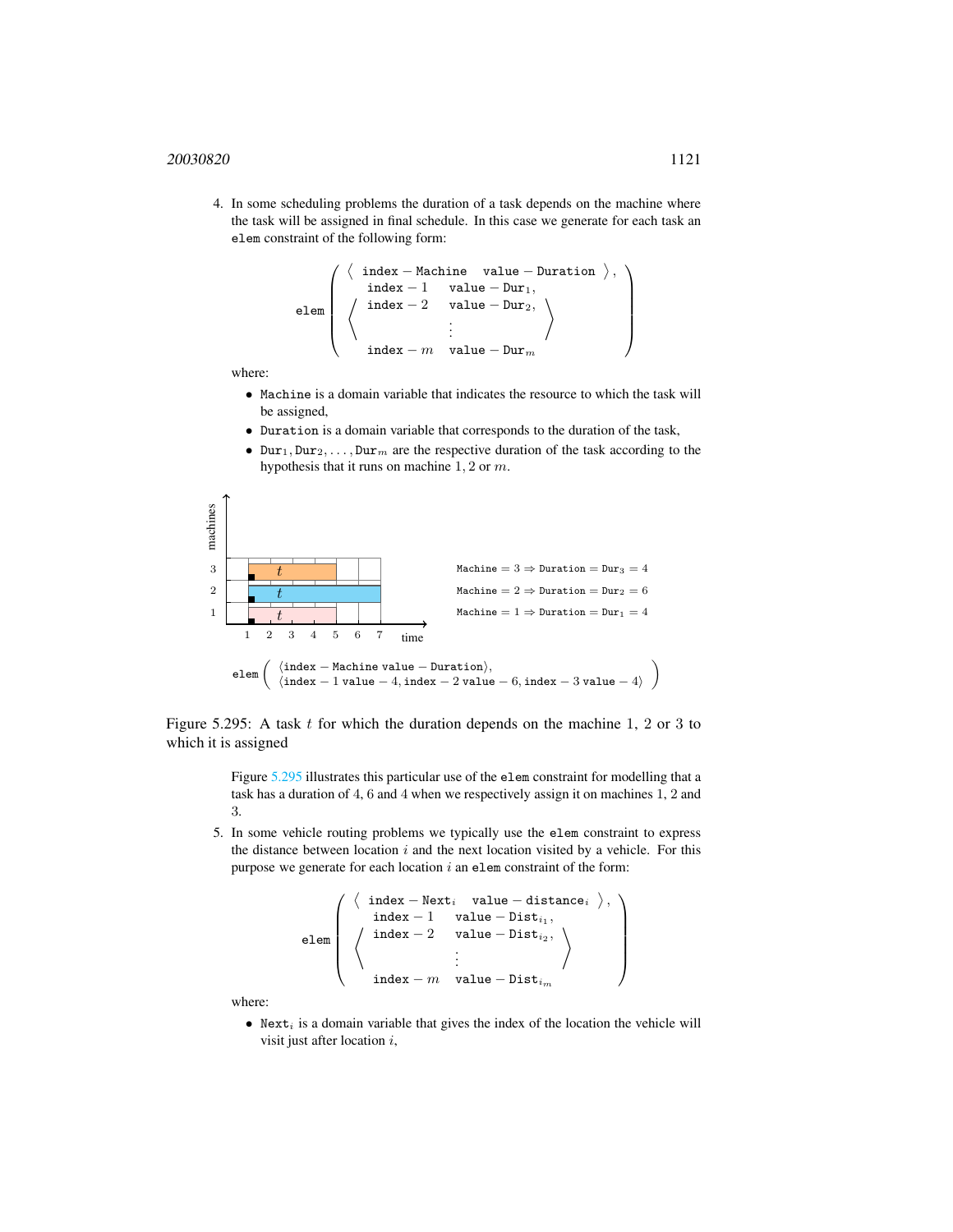4. In some scheduling problems the duration of a task depends on the machine where the task will be assigned in final schedule. In this case we generate for each task an elem constraint of the following form:

```
elem
          \sqrt{ }\overline{\phantom{a}}\langle{\tt index-Machine \quad value-Duration} \ \big \rangle \, ,*
                      index - 1 value - Dur<sub>1</sub>,
                      index - 2 value – Dur_2,
                                                 .
.
.
                                               value − Dur<sub>n</sub></sub>
                                                                               \setminus\setminus\begin{array}{c} \hline \end{array}
```
where:

- Machine is a domain variable that indicates the resource to which the task will be assigned,
- Duration is a domain variable that corresponds to the duration of the task,
- Dur<sub>1</sub>, Dur<sub>2</sub>, ..., Dur<sub>m</sub> are the respective duration of the task according to the hypothesis that it runs on machine 1, 2 or m.



Figure 5.295: A task  $t$  for which the duration depends on the machine 1, 2 or 3 to which it is assigned

> <span id="page-3-0"></span>Figure [5.295](#page-3-0) illustrates this particular use of the elem constraint for modelling that a task has a duration of 4, 6 and 4 when we respectively assign it on machines 1, 2 and 3.

5. In some vehicle routing problems we typically use the elem constraint to express the distance between location  $i$  and the next location visited by a vehicle. For this purpose we generate for each location  $i$  an elem constraint of the form:

```
elem
        \sqrt{ }\overline{\phantom{a}}⟨
               {\tt index-Next}_i value - distance_i \rangle,
             *
                  index - 1 value – Dist_{i_1},index - 2 value – Dist_{i_2},
                                        .
.
.
                  index - m value – Dist<sub>i</sub>
                                                                     \setminus\setminus\begin{array}{c} \hline \end{array}
```
where:

• Next<sub>i</sub> is a domain variable that gives the index of the location the vehicle will visit just after location i,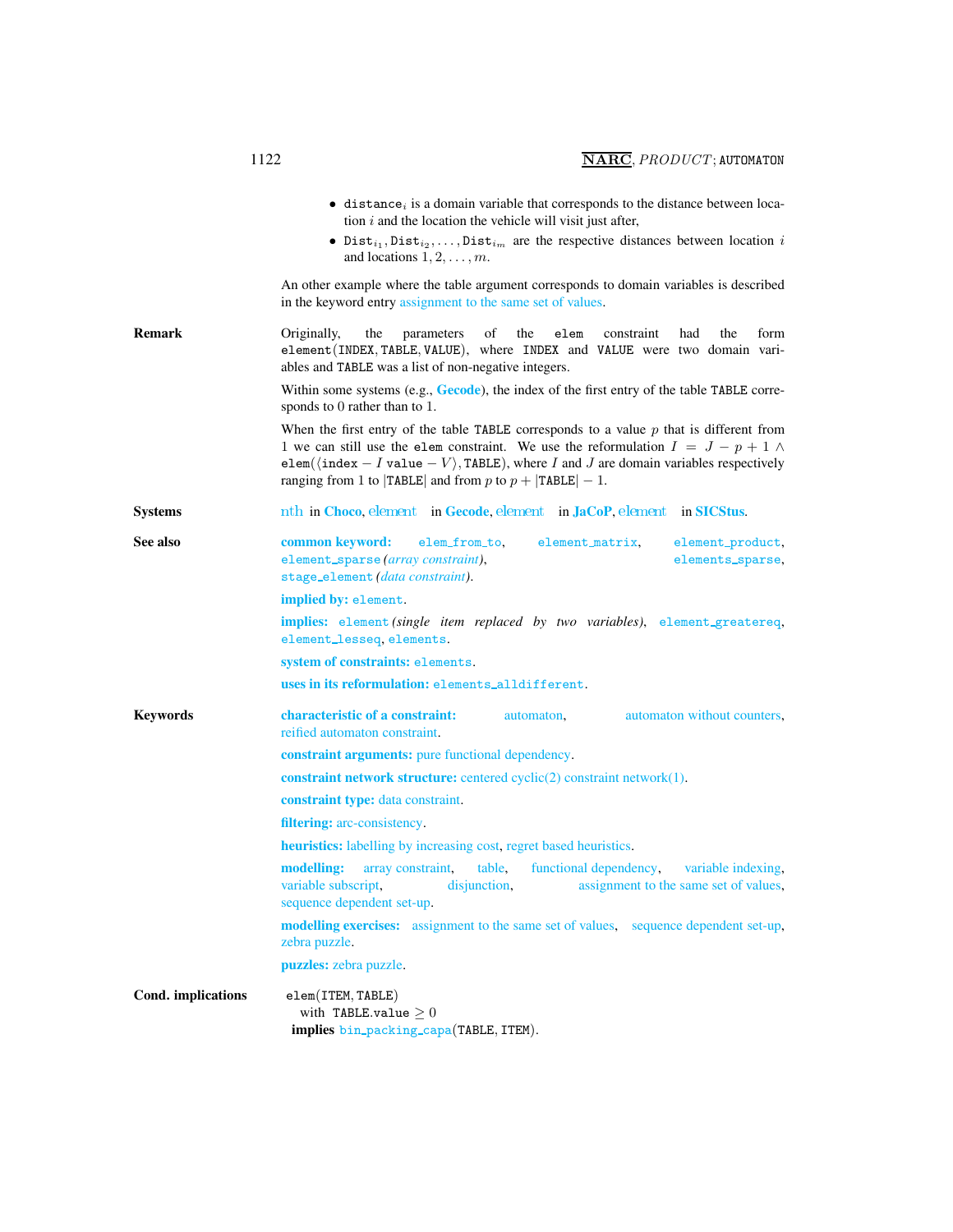<span id="page-4-0"></span>

|                    | $\bullet$ distance; is a domain variable that corresponds to the distance between loca-<br>tion $i$ and the location the vehicle will visit just after,<br>• Dist <sub>i</sub> , Dist <sub>i2</sub> ,, Dist <sub>im</sub> are the respective distances between location i<br>and locations $1, 2, \ldots, m$ .                                                   |
|--------------------|------------------------------------------------------------------------------------------------------------------------------------------------------------------------------------------------------------------------------------------------------------------------------------------------------------------------------------------------------------------|
|                    | An other example where the table argument corresponds to domain variables is described<br>in the keyword entry assignment to the same set of values.                                                                                                                                                                                                             |
| <b>Remark</b>      | the<br>of<br>the<br>Originally,<br>parameters<br>elem<br>constraint<br>had<br>the<br>form<br>element (INDEX, TABLE, VALUE), where INDEX and VALUE were two domain vari-<br>ables and TABLE was a list of non-negative integers.                                                                                                                                  |
|                    | Within some systems (e.g., $Gecode$ ), the index of the first entry of the table TABLE corre-<br>sponds to 0 rather than to 1.                                                                                                                                                                                                                                   |
|                    | When the first entry of the table TABLE corresponds to a value $p$ that is different from<br>1 we can still use the elem constraint. We use the reformulation $I = J - p + 1 \wedge$<br>elem( $\langle$ index - I value - V $\rangle$ , TABLE), where I and J are domain variables respectively<br>ranging from 1 to $ TABLE $ and from p to $p +  TABLE  - 1$ . |
| <b>Systems</b>     | nth in Choco, element in Gecode, element in JaCoP, element in SICStus.                                                                                                                                                                                                                                                                                           |
| See also           | common keyword:<br>elem_from_to.<br>element_matrix,<br>element_product,<br>element_sparse(array constraint),<br>elements_sparse,<br>stage_element (data constraint).                                                                                                                                                                                             |
|                    | implied by: element.                                                                                                                                                                                                                                                                                                                                             |
|                    | implies: element (single item replaced by two variables), element_greatereq,<br>element_lesseq, elements.                                                                                                                                                                                                                                                        |
|                    | system of constraints: elements.                                                                                                                                                                                                                                                                                                                                 |
|                    | uses in its reformulation: elements_alldifferent.                                                                                                                                                                                                                                                                                                                |
| <b>Keywords</b>    | characteristic of a constraint:<br>automaton without counters,<br>automaton,<br>reified automaton constraint.                                                                                                                                                                                                                                                    |
|                    | <b>constraint arguments:</b> pure functional dependency.                                                                                                                                                                                                                                                                                                         |
|                    | <b>constraint network structure:</b> centered cyclic $(2)$ constraint network $(1)$ .                                                                                                                                                                                                                                                                            |
|                    | constraint type: data constraint.                                                                                                                                                                                                                                                                                                                                |
|                    | <b>filtering:</b> arc-consistency.                                                                                                                                                                                                                                                                                                                               |
|                    | <b>heuristics:</b> labelling by increasing cost, regret based heuristics.                                                                                                                                                                                                                                                                                        |
|                    | modelling:<br>functional dependency,<br>variable indexing,<br>array constraint,<br>table,<br>variable subscript,<br>disjunction,<br>assignment to the same set of values,<br>sequence dependent set-up.                                                                                                                                                          |
|                    | <b>modelling exercises:</b> assignment to the same set of values, sequence dependent set-up,<br>zebra puzzle.                                                                                                                                                                                                                                                    |
|                    | puzzles: zebra puzzle.                                                                                                                                                                                                                                                                                                                                           |
| Cond. implications | element(TEM, TABLE)<br>with TABLE.value $>0$<br>implies bin_packing_capa(TABLE, ITEM).                                                                                                                                                                                                                                                                           |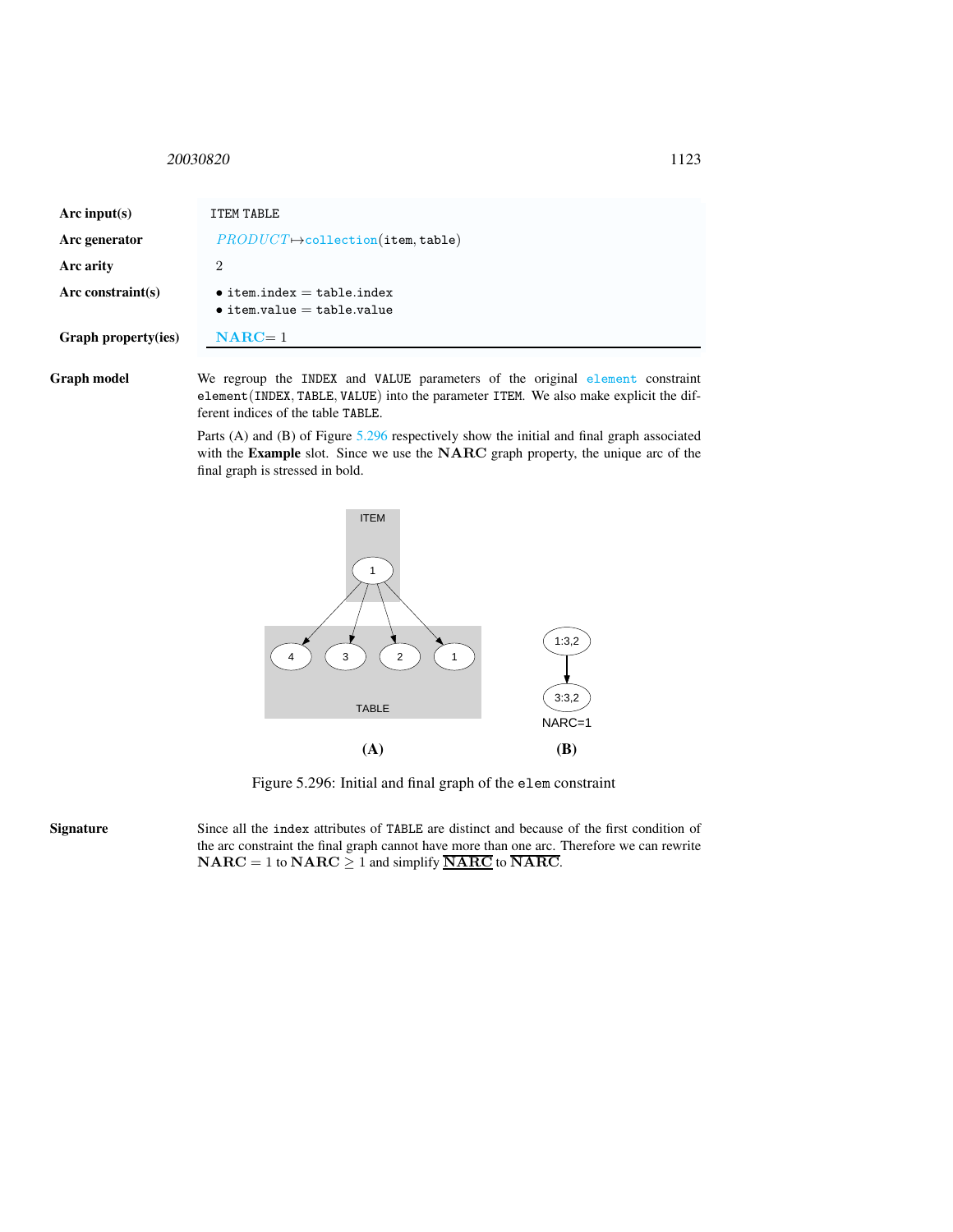## <span id="page-5-0"></span><sup>20030820</sup> 1123

| Arc input(s)               | ITEM TABLE                                                               |
|----------------------------|--------------------------------------------------------------------------|
| Arc generator              | $PRODUCT \rightarrow collection(\texttt{item}, \texttt{table})$          |
| Arc arity                  | 2                                                                        |
| Arc constraint $(s)$       | $\bullet$ item.index = table.index<br>$\bullet$ item.value = table.value |
| <b>Graph property(ies)</b> | $NARC=1$                                                                 |

Graph model We regroup the INDEX and VALUE parameters of the original element constraint element(INDEX, TABLE, VALUE) into the parameter ITEM. We also make explicit the different indices of the table TABLE.

> Parts (A) and (B) of Figure [5.296](#page-5-1) respectively show the initial and final graph associated with the Example slot. Since we use the NARC graph property, the unique arc of the final graph is stressed in bold.



<span id="page-5-1"></span>Figure 5.296: Initial and final graph of the elem constraint

Signature Since all the index attributes of TABLE are distinct and because of the first condition of the arc constraint the final graph cannot have more than one arc. Therefore we can rewrite  $\mathbf{NARC} = 1$  to  $\mathbf{NARC} \geq 1$  and simplify  $\overline{\mathbf{NARC}}$  to  $\overline{\mathbf{NARC}}$ .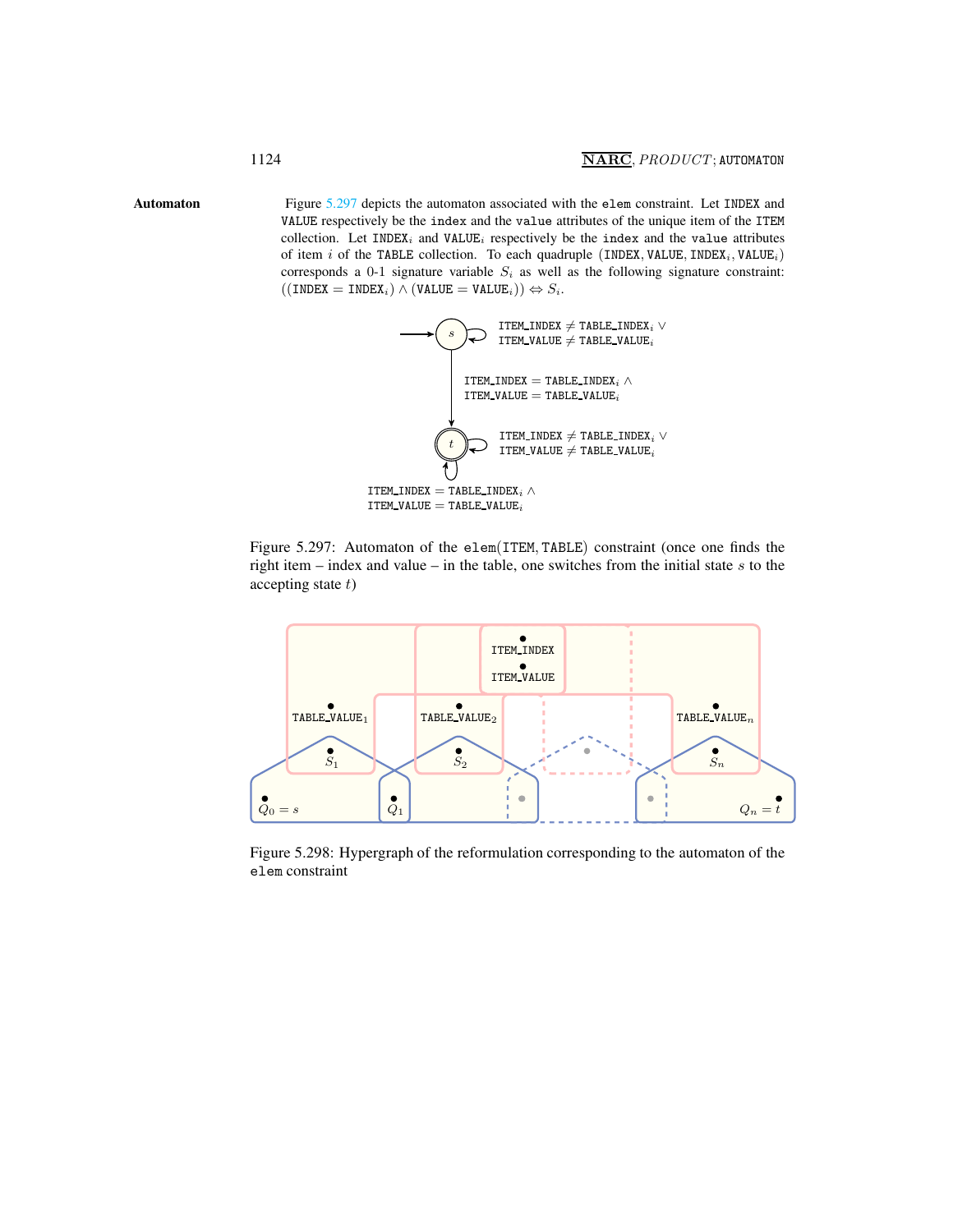Automaton Figure [5.297](#page-6-1) depicts the automaton associated with the elem constraint. Let INDEX and VALUE respectively be the index and the value attributes of the unique item of the ITEM collection. Let  $IMDEX_i$  and  $VALUE_i$  respectively be the index and the value attributes of item i of the TABLE collection. To each quadruple (INDEX, VALUE, INDEX<sub>i</sub>, VALUE<sub>i</sub>) corresponds a 0-1 signature variable  $S_i$  as well as the following signature constraint:  $((INDEX = INDEX_i) \wedge (VALUE = VALUE_i)) \Leftrightarrow S_i.$ 

<span id="page-6-0"></span>

<span id="page-6-1"></span>Figure 5.297: Automaton of the elem(ITEM, TABLE) constraint (once one finds the right item – index and value – in the table, one switches from the initial state  $s$  to the accepting state  $t$ )



Figure 5.298: Hypergraph of the reformulation corresponding to the automaton of the elem constraint